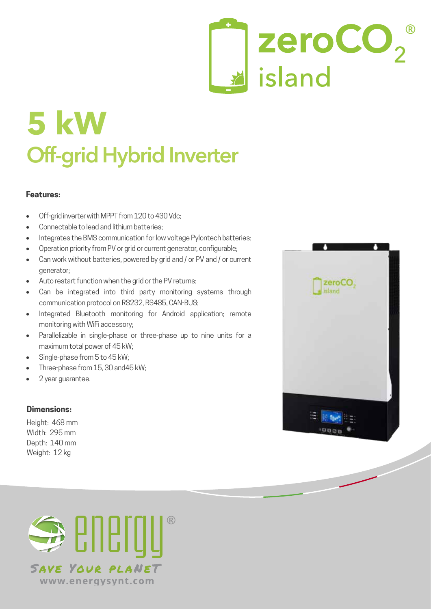# zeroCO<sub>2</sub> island

## **5 kW Off-grid Hybrid Inverter**

#### **Features:**

- Off-grid inverter with MPPT from 120 to 430 Vdc;
- Connectable to lead and lithium batteries:
- Integrates the BMS communication for low voltage Pylontech batteries:
- Operation priority from PV or grid or current generator, configurable;
- Can work without batteries, powered by grid and / or PV and / or current generator;
- Auto restart function when the grid or the PV returns;
- Can be integrated into third party monitoring systems through communication protocol on RS232, RS485, CAN-BUS;
- Integrated Bluetooth monitoring for Android application: remote monitoring with WiFi accessory;
- Parallelizable in single-phase or three-phase up to nine units for a maximum total power of 45 kW;
- Single-phase from 5 to 45 kW:
- Three-phase from 15, 30 and 45 kW;
- 2 year quarantee.

### **Dimensions:**

Height: 468 mm Width: 295 mm Depth: 140 mm Weight: 12 kg